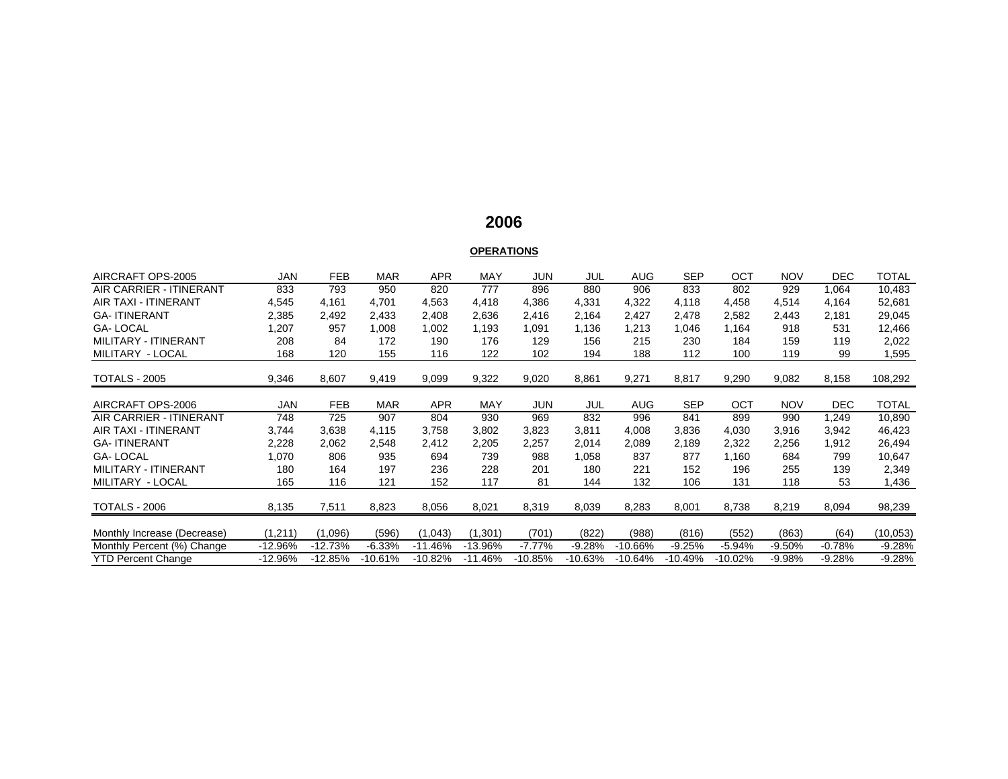## **2006**

# **OPERATIONS**

| AIRCRAFT OPS-2005              | <b>JAN</b> | <b>FEB</b> | <b>MAR</b> | <b>APR</b> | <b>MAY</b> | JUN      | JUL       | <b>AUG</b> | <b>SEP</b> | OCT       | <b>NOV</b> | <b>DEC</b> | <b>TOTAL</b> |
|--------------------------------|------------|------------|------------|------------|------------|----------|-----------|------------|------------|-----------|------------|------------|--------------|
| AIR CARRIER - ITINERANT        | 833        | 793        | 950        | 820        | 777        | 896      | 880       | 906        | 833        | 802       | 929        | 1,064      | 10,483       |
| <b>AIR TAXI - ITINERANT</b>    | 4,545      | 4,161      | 4.701      | 4,563      | 4,418      | 4,386    | 4,331     | 4,322      | 4,118      | 4,458     | 4,514      | 4,164      | 52,681       |
| <b>GA-ITINERANT</b>            | 2,385      | 2,492      | 2,433      | 2,408      | 2,636      | 2,416    | 2,164     | 2,427      | 2,478      | 2,582     | 2,443      | 2,181      | 29,045       |
| <b>GA-LOCAL</b>                | 1,207      | 957        | 1,008      | 1,002      | 1,193      | 1,091    | 1,136     | 1,213      | 1,046      | 1,164     | 918        | 531        | 12,466       |
| MILITARY - ITINERANT           | 208        | 84         | 172        | 190        | 176        | 129      | 156       | 215        | 230        | 184       | 159        | 119        | 2,022        |
| MILITARY - LOCAL               | 168        | 120        | 155        | 116        | 122        | 102      | 194       | 188        | 112        | 100       | 119        | 99         | 1,595        |
| <b>TOTALS - 2005</b>           | 9,346      | 8,607      | 9,419      | 9,099      | 9,322      | 9,020    | 8,861     | 9,271      | 8,817      | 9,290     | 9,082      | 8,158      | 108,292      |
|                                |            |            |            |            |            |          |           |            |            |           |            |            |              |
| AIRCRAFT OPS-2006              | <b>JAN</b> | <b>FEB</b> | <b>MAR</b> | <b>APR</b> | <b>MAY</b> | JUN      | JUL       | <b>AUG</b> | <b>SEP</b> | OCT       | <b>NOV</b> | <b>DEC</b> | <b>TOTAL</b> |
| <b>AIR CARRIER - ITINERANT</b> | 748        | 725        | 907        | 804        | 930        | 969      | 832       | 996        | 841        | 899       | 990        | 1,249      | 10,890       |
| <b>AIR TAXI - ITINERANT</b>    | 3,744      | 3,638      | 4,115      | 3,758      | 3,802      | 3,823    | 3,811     | 4,008      | 3,836      | 4,030     | 3,916      | 3,942      | 46,423       |
| <b>GA-ITINERANT</b>            | 2,228      | 2,062      | 2,548      | 2,412      | 2,205      | 2,257    | 2,014     | 2,089      | 2,189      | 2,322     | 2,256      | 1,912      | 26,494       |
| <b>GA-LOCAL</b>                | 1,070      | 806        | 935        | 694        | 739        | 988      | 1,058     | 837        | 877        | 1,160     | 684        | 799        | 10,647       |
| MILITARY - ITINERANT           | 180        | 164        | 197        | 236        | 228        | 201      | 180       | 221        | 152        | 196       | 255        | 139        | 2,349        |
| MILITARY - LOCAL               | 165        | 116        | 121        | 152        | 117        | 81       | 144       | 132        | 106        | 131       | 118        | 53         | 1,436        |
| <b>TOTALS - 2006</b>           | 8,135      | 7,511      | 8,823      | 8,056      | 8,021      | 8,319    | 8,039     | 8,283      | 8,001      | 8,738     | 8,219      | 8,094      | 98,239       |
|                                |            |            |            |            |            |          |           |            |            |           |            |            |              |
| Monthly Increase (Decrease)    | (1,211)    | (1,096)    | (596)      | (1,043)    | (1, 301)   | (701)    | (822)     | (988)      | (816)      | (552)     | (863)      | (64)       | (10,053)     |
| Monthly Percent (%) Change     | $-12.96%$  | $-12.73%$  | $-6.33%$   | $-11.46%$  | -13.96%    | $-7.77%$ | $-9.28%$  | $-10.66%$  | $-9.25%$   | $-5.94%$  | $-9.50%$   | $-0.78%$   | $-9.28%$     |
| <b>YTD Percent Change</b>      | $-12.96%$  | $-12.85%$  | $-10.61%$  | $-10.82%$  | -11.46%    | -10.85%  | $-10.63%$ | $-10.64%$  | $-10.49%$  | $-10.02%$ | -9.98%     | $-9.28%$   | $-9.28%$     |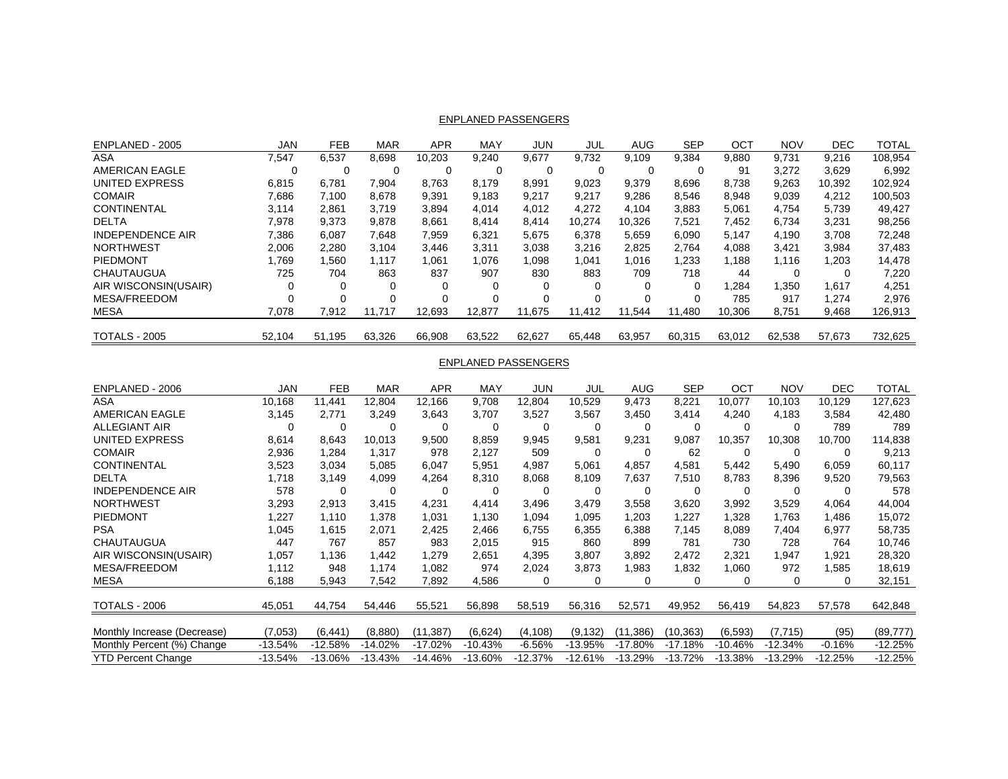|  | <b>ENPLANED PASSENGERS</b> |  |
|--|----------------------------|--|
|  |                            |  |

| ENPLANED - 2005         | <b>JAN</b> | <b>FEB</b> | <b>MAR</b> | <b>APR</b> | <b>MAY</b> | <b>JUN</b> | JUL      | <b>AUG</b> | <b>SEP</b> | OCT    | <b>NOV</b> | <b>DEC</b> | <b>TOTAL</b> |
|-------------------------|------------|------------|------------|------------|------------|------------|----------|------------|------------|--------|------------|------------|--------------|
| ASA                     | 7,547      | 6.537      | 8.698      | 10.203     | 9.240      | 9.677      | 9.732    | 9.109      | 9.384      | 9.880  | 9,731      | 9.216      | 108.954      |
| <b>AMERICAN EAGLE</b>   | 0          | 0          | 0          | 0          |            |            |          |            |            | 91     | 3,272      | 3,629      | 6,992        |
| UNITED EXPRESS          | 6,815      | 6.781      | 7.904      | 8.763      | 8.179      | 8.991      | 9.023    | 9.379      | 8.696      | 8.738  | 9,263      | 10.392     | 102.924      |
| <b>COMAIR</b>           | 7.686      | 7.100      | 8.678      | 9,391      | 9,183      | 9,217      | 9.217    | 9.286      | 8.546      | 8,948  | 9,039      | 4.212      | 100.503      |
| <b>CONTINENTAL</b>      | 3.114      | 2,861      | 3.719      | 3,894      | 4.014      | 4,012      | 4,272    | 4.104      | 3,883      | 5,061  | 4.754      | 5.739      | 49,427       |
| <b>DELTA</b>            | 7,978      | 9,373      | 9,878      | 8,661      | 8.414      | 8.414      | 10.274   | 10.326     | 7.521      | 7.452  | 6.734      | 3,231      | 98,256       |
| <b>INDEPENDENCE AIR</b> | 7,386      | 6.087      | 7.648      | 7,959      | 6,321      | 5.675      | 6,378    | 5.659      | 6.090      | 5.147  | 4,190      | 3.708      | 72,248       |
| <b>NORTHWEST</b>        | 2,006      | 2,280      | 3.104      | 3,446      | 3,311      | 3,038      | 3,216    | 2,825      | 2.764      | 4,088  | 3,421      | 3,984      | 37,483       |
| PIEDMONT                | .769       | .560       | 1.117      | 1,061      | 1.076      | .098       | 1,041    | 1.016      | 1,233      | .188   | 1.116      | 1,203      | 14,478       |
| CHAUTAUGUA              | 725        | 704        | 863        | 837        | 907        | 830        | 883      | 709        | 718        | 44     | $\Omega$   |            | 7,220        |
| AIR WISCONSIN(USAIR)    |            | 0          | 0          |            | 0          |            |          | 0          | 0          | .284   | .350       | 1,617      | 4,251        |
| <b>MESA/FREEDOM</b>     | $\Omega$   | $\Omega$   | $\Omega$   |            | $\Omega$   |            | $\Omega$ | $\Omega$   | $\Omega$   | 785    | 917        | 1.274      | 2,976        |
| <b>MESA</b>             | 7,078      | 7,912      | 11.717     | 12,693     | 12.877     | 11.675     | 11.412   | 11,544     | 11,480     | 10,306 | 8,751      | 9,468      | 126,913      |
|                         |            |            |            |            |            |            |          |            |            |        |            |            |              |
| <b>TOTALS - 2005</b>    | 52,104     | 51.195     | 63,326     | 66,908     | 63,522     | 62,627     | 65.448   | 63,957     | 60,315     | 63,012 | 62,538     | 57.673     | 732,625      |

#### ENPLANED PASSENGERS

| ENPLANED - 2006             | JAN       | <b>FEB</b> | <b>MAR</b> | <b>APR</b> | MAY       | <b>JUN</b> | JUL       | AUG       | <b>SEP</b> | OCT       | <b>NOV</b> | <b>DEC</b> | <b>TOTAL</b> |
|-----------------------------|-----------|------------|------------|------------|-----------|------------|-----------|-----------|------------|-----------|------------|------------|--------------|
| ASA                         | 10,168    | 11,441     | 12,804     | 12,166     | 9,708     | 12,804     | 10,529    | 9,473     | 8,221      | 10,077    | 10,103     | 10,129     | 127,623      |
| AMERICAN EAGLE              | 3,145     | 2.771      | 3,249      | 3,643      | 3,707     | 3,527      | 3,567     | 3,450     | 3,414      | 4,240     | 4,183      | 3,584      | 42,480       |
| <b>ALLEGIANT AIR</b>        | 0         | $\Omega$   | $\Omega$   | 0          | 0         | $\Omega$   |           | 0         | 0          | 0         | 0          | 789        | 789          |
| <b>UNITED EXPRESS</b>       | 8,614     | 8,643      | 10,013     | 9,500      | 8,859     | 9,945      | 9,581     | 9,231     | 9,087      | 10,357    | 10,308     | 10,700     | 114,838      |
| <b>COMAIR</b>               | 2,936     | 1,284      | 1,317      | 978        | 2,127     | 509        | 0         | $\Omega$  | 62         | 0         | 0          | $\Omega$   | 9,213        |
| <b>CONTINENTAL</b>          | 3,523     | 3,034      | 5,085      | 6,047      | 5,951     | 4,987      | 5,061     | 4,857     | 4,581      | 5,442     | 5,490      | 6,059      | 60,117       |
| <b>DELTA</b>                | .718      | 3,149      | 4,099      | 4,264      | 8,310     | 8,068      | 8,109     | 7,637     | 7,510      | 8,783     | 8,396      | 9,520      | 79,563       |
| <b>INDEPENDENCE AIR</b>     | 578       | $\Omega$   | 0          | 0          | 0         | $\Omega$   |           | 0         | 0          | 0         | 0          | 0          | 578          |
| <b>NORTHWEST</b>            | 3,293     | 2,913      | 3,415      | 4,231      | 4,414     | 3,496      | 3,479     | 3,558     | 3,620      | 3,992     | 3,529      | 4,064      | 44,004       |
| <b>PIEDMONT</b>             | ,227      | 1,110      | ,378       | 1,031      | 1,130     | 1,094      | 1,095     | 1,203     | 1,227      | 1,328     | 1,763      | 1,486      | 15,072       |
| <b>PSA</b>                  | ,045      | 1,615      | 2,071      | 2,425      | 2,466     | 6,755      | 6,355     | 6,388     | 7,145      | 8,089     | 7,404      | 6,977      | 58,735       |
| <b>CHAUTAUGUA</b>           | 447       | 767        | 857        | 983        | 2,015     | 915        | 860       | 899       | 781        | 730       | 728        | 764        | 10,746       |
| AIR WISCONSIN(USAIR)        | ,057      | 1,136      | .442       | 279. ا     | 2,651     | 4,395      | 3,807     | 3,892     | 2.472      | 2,321     | 1,947      | 1,921      | 28,320       |
| <b>MESA/FREEDOM</b>         | 1,112     | 948        | 1.174      | 1,082      | 974       | 2,024      | 3,873     | 1,983     | 1,832      | 1,060     | 972        | 1,585      | 18,619       |
| <b>MESA</b>                 | 6,188     | 5,943      | 7,542      | 7,892      | 4,586     | 0          | 0         | 0         | 0          | 0         | 0          | 0          | 32,151       |
| <b>TOTALS - 2006</b>        | 45,051    | 44,754     | 54,446     | 55,521     | 56,898    | 58,519     | 56,316    | 52,571    | 49,952     | 56,419    | 54,823     | 57,578     | 642,848      |
|                             |           |            |            |            |           |            |           |           |            |           |            |            |              |
| Monthly Increase (Decrease) | (7,053)   | (6, 441)   | (8.880)    | (11, 387)  | (6,624)   | (4, 108)   | (9, 132)  | (11,386)  | (10,363)   | (6, 593)  | (7,715)    | (95)       | (89, 777)    |
| Monthly Percent (%) Change  | $-13.54%$ | $-12.58%$  | $-14.02%$  | $-17.02%$  | $-10.43%$ | $-6.56%$   | $-13.95%$ | $-17.80%$ | $-17.18%$  | $-10.46%$ | $-12.34%$  | $-0.16%$   | $-12.25%$    |
| YTD Percent Change          | -13.54%   | $-13.06\%$ | $-13.43%$  | -14.46%    | $-13.60%$ | $-12.37%$  | $-12.61%$ | $-13.29%$ | $-13.72%$  | $-13.38%$ | $-13.29%$  | $-12.25%$  | $-12.25%$    |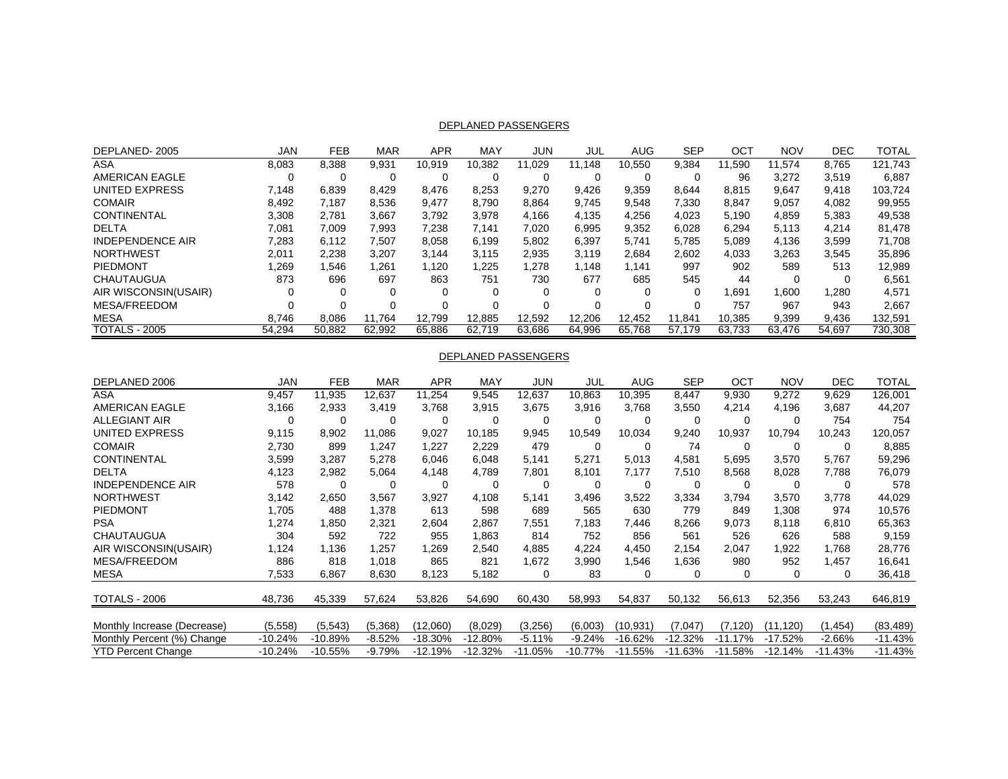### DEPLANED PASSENGERS

| DEPLANED-2005           | JAN    | FEB      | MAR    | APR    | MAY    | JUN    | JUL    | <b>AUG</b> | <b>SEP</b> | OCT    | <b>NOV</b> | <b>DEC</b> | TOTAL   |
|-------------------------|--------|----------|--------|--------|--------|--------|--------|------------|------------|--------|------------|------------|---------|
| ASA                     | 8,083  | 8.388    | 9,931  | 10,919 | 10.382 | 11.029 | 11.148 | 10.550     | 9.384      | 11.590 | 11.574     | 8.765      | 121.743 |
| AMERICAN EAGLE          |        | 0        |        |        | 0      |        |        |            |            | 96     | 3.272      | 3.519      | 6,887   |
| UNITED EXPRESS          | 7.148  | 6.839    | 8.429  | 8,476  | 8,253  | 9.270  | 9.426  | 9.359      | 8.644      | 8,815  | 9,647      | 9.418      | 103,724 |
| <b>COMAIR</b>           | 8.492  | 7.187    | 8.536  | 9,477  | 8.790  | 8.864  | 9.745  | 9.548      | 7.330      | 8.847  | 9,057      | 4,082      | 99,955  |
| <b>CONTINENTAL</b>      | 3,308  | 2,781    | 3.667  | 3,792  | 3,978  | 4.166  | 4,135  | 4,256      | 4,023      | 5.190  | 4,859      | 5,383      | 49,538  |
| <b>DELTA</b>            | 7.081  | 7.009    | 7.993  | 7.238  | 7.141  | 7.020  | 6.995  | 9,352      | 6.028      | 6.294  | 5.113      | 4.214      | 81,478  |
| <b>INDEPENDENCE AIR</b> | 7,283  | 6.112    | 7,507  | 8,058  | 6,199  | 5,802  | 6,397  | 5.741      | 5,785      | 5,089  | 4,136      | 3,599      | 71,708  |
| <b>NORTHWEST</b>        | 2.011  | 2.238    | 3.207  | 3.144  | 3.115  | 2.935  | 3.119  | 2.684      | 2,602      | 4.033  | 3,263      | 3.545      | 35,896  |
| PIEDMONT                | 1,269  | .546     | .261   | 1,120  | 1,225  | 1.278  | .148   | 1.141      | 997        | 902    | 589        | 513        | 12,989  |
| <b>CHAUTAUGUA</b>       | 873    | 696      | 697    | 863    | 751    | 730    | 677    | 685        | 545        | 44     |            | 0          | 6,561   |
| AIR WISCONSIN(USAIR)    |        | 0        |        |        | 0      |        |        |            |            | 1.691  | .600       | 1,280      | 4,571   |
| MESA/FREEDOM            |        | $\Omega$ |        |        | 0      |        |        |            |            | 757    | 967        | 943        | 2.667   |
| <b>MESA</b>             | 8.746  | 8.086    | 11.764 | 12.799 | 12.885 | 12,592 | 12,206 | 12,452     | 11,841     | 10.385 | 9,399      | 9,436      | 132,591 |
| <b>TOTALS - 2005</b>    | 54.294 | 50.882   | 62.992 | 65.886 | 62.719 | 63.686 | 64.996 | 65.768     | 57.179     | 63.733 | 63.476     | 54.697     | 730.308 |

#### DEPLANED PASSENGERS

| DEPLANED 2006               | JAN       | <b>FEB</b> | <b>MAR</b> | <b>APR</b> | MAY       | JUN      | JUL       | AUG       | <b>SEP</b> | OCT       | <b>NOV</b> | DEC.      | TOTAL     |
|-----------------------------|-----------|------------|------------|------------|-----------|----------|-----------|-----------|------------|-----------|------------|-----------|-----------|
| ASA                         | 9,457     | 11,935     | 12,637     | 11,254     | 9,545     | 12,637   | 10,863    | 10,395    | 8,447      | 9,930     | 9,272      | 9,629     | 126,001   |
| <b>AMERICAN EAGLE</b>       | 3,166     | 2,933      | 3,419      | 3,768      | 3,915     | 3,675    | 3,916     | 3,768     | 3,550      | 4,214     | 4,196      | 3,687     | 44,207    |
| <b>ALLEGIANT AIR</b>        | 0         | 0          | 0          | $\Omega$   | 0         | 0        | $\Omega$  | 0         | 0          | 0         | 0          | 754       | 754       |
| <b>UNITED EXPRESS</b>       | 9,115     | 8,902      | 11,086     | 9,027      | 10,185    | 9,945    | 10,549    | 10,034    | 9,240      | 10,937    | 10,794     | 10,243    | 120,057   |
| <b>COMAIR</b>               | 2,730     | 899        | 1,247      | 1,227      | 2,229     | 479      | 0         | 0         | 74         | 0         | 0          | 0         | 8,885     |
| <b>CONTINENTAL</b>          | 3,599     | 3,287      | 5,278      | 6,046      | 6,048     | 5,141    | 5,271     | 5,013     | 4,581      | 5,695     | 3,570      | 5,767     | 59,296    |
| <b>DELTA</b>                | 4,123     | 2,982      | 5,064      | 4,148      | 4,789     | 7,801    | 8,101     | 7,177     | 7,510      | 8,568     | 8,028      | 7,788     | 76,079    |
| <b>INDEPENDENCE AIR</b>     | 578       | 0          | 0          | 0          | 0         | 0        | 0         | 0         | 0          | 0         | 0          | $\Omega$  | 578       |
| <b>NORTHWEST</b>            | 3,142     | 2,650      | 3,567      | 3,927      | 4,108     | 5,141    | 3,496     | 3,522     | 3,334      | 3,794     | 3,570      | 3,778     | 44,029    |
| <b>PIEDMONT</b>             | 1,705     | 488        | 1,378      | 613        | 598       | 689      | 565       | 630       | 779        | 849       | 1,308      | 974       | 10,576    |
| <b>PSA</b>                  | ,274      | 1,850      | 2,321      | 2,604      | 2,867     | 7,551    | 7,183     | 7,446     | 8,266      | 9,073     | 8,118      | 6,810     | 65,363    |
| <b>CHAUTAUGUA</b>           | 304       | 592        | 722        | 955        | 1,863     | 814      | 752       | 856       | 561        | 526       | 626        | 588       | 9,159     |
| AIR WISCONSIN(USAIR)        | 1,124     | 1,136      | ,257       | .269       | 2,540     | 4,885    | 4,224     | 4,450     | 2,154      | 2,047     | 1,922      | 1,768     | 28,776    |
| <b>MESA/FREEDOM</b>         | 886       | 818        | 1,018      | 865        | 821       | 1,672    | 3,990     | 1,546     | 1,636      | 980       | 952        | 1,457     | 16,641    |
| MESA                        | 7,533     | 6,867      | 8,630      | 8,123      | 5,182     | 0        | 83        | 0         | 0          | 0         | 0          | 0         | 36,418    |
| <b>TOTALS - 2006</b>        | 48,736    | 45,339     | 57,624     | 53,826     | 54,690    | 60,430   | 58,993    | 54,837    | 50,132     | 56,613    | 52,356     | 53,243    | 646,819   |
|                             |           |            |            |            |           |          |           |           |            |           |            |           |           |
| Monthly Increase (Decrease) | (5,558)   | (5, 543)   | (5,368)    | (12,060)   | (8,029)   | (3,256)  | (6,003)   | (10,931)  | (7,047)    | (7, 120)  | (11,120)   | (1, 454)  | (83, 489) |
| Monthly Percent (%) Change  | $-10.24%$ | $-10.89%$  | $-8.52%$   | $-18.30%$  | $-12.80%$ | $-5.11%$ | $-9.24%$  | -16.62%   | $-12.32%$  | $-11.17%$ | $-17.52%$  | -2.66%    | $-11.43%$ |
| <b>YTD Percent Change</b>   | $-10.24%$ | $-10.55%$  | $-9.79%$   | $-12.19%$  | $-12.32%$ | -11.05%  | $-10.77%$ | $-11.55%$ | $-11.63%$  | $-11.58%$ | $-12.14%$  | $-11.43%$ | $-11.43%$ |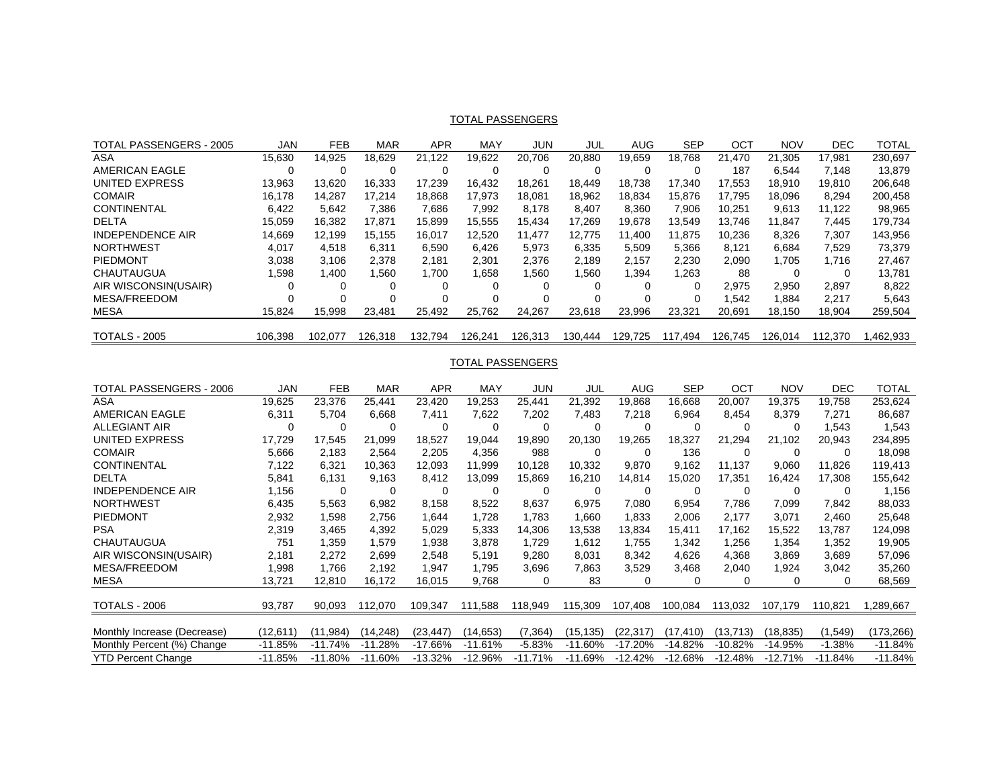#### TOTAL PASSENGERS

| TOTAL PASSENGERS - 2005 | <b>JAN</b> | <b>FEB</b> | <b>MAR</b> | APR     | MAY      | JUN     | JUL     | AUG     | <b>SEP</b> | ОСТ     | <b>NOV</b> | DEC     | TOTAL    |
|-------------------------|------------|------------|------------|---------|----------|---------|---------|---------|------------|---------|------------|---------|----------|
| ASA                     | 15,630     | 14.925     | 18.629     | 21.122  | 19.622   | 20.706  | 20.880  | 19.659  | 18.768     | 21.470  | 21.305     | 17.981  | 230,697  |
| AMERICAN EAGLE          |            | $\Omega$   |            |         |          |         |         |         |            | 187     | 6,544      | 7.148   | 13,879   |
| UNITED EXPRESS          | 13.963     | 13.620     | 16.333     | 17.239  | 16.432   | 18.261  | 18.449  | 18.738  | 17.340     | 17.553  | 18.910     | 19.810  | 206.648  |
| <b>COMAIR</b>           | 16.178     | 14.287     | 17.214     | 18.868  | 17.973   | 18.081  | 18.962  | 18.834  | 15.876     | 17.795  | 18.096     | 8.294   | 200,458  |
| <b>CONTINENTAL</b>      | 6.422      | 5.642      | 7.386      | 7.686   | 7.992    | 8.178   | 8.407   | 8.360   | 7.906      | 10.251  | 9,613      | 11.122  | 98,965   |
| <b>DELTA</b>            | 15.059     | 16.382     | 17.871     | 15.899  | 15.555   | 15.434  | 17.269  | 19.678  | 13.549     | 13.746  | 11.847     | 7.445   | 179.734  |
| <b>INDEPENDENCE AIR</b> | 14,669     | 12.199     | 15.155     | 16.017  | 12.520   | 11.477  | 12.775  | 11.400  | 11.875     | 10.236  | 8.326      | 7.307   | 143,956  |
| <b>NORTHWEST</b>        | 4.017      | 4.518      | 6.311      | 6.590   | 6.426    | 5.973   | 6.335   | 5.509   | 5.366      | 8.121   | 6.684      | 7.529   | 73,379   |
| PIEDMONT                | 3.038      | 3.106      | 2.378      | 2.181   | 2.301    | 2.376   | 2.189   | 2.157   | 2.230      | 2.090   | 1.705      | 1.716   | 27,467   |
| CHAUTAUGUA              | 598. ا     | 1,400      | .560       | 1.700   | .658     | 1.560   | .560    | .394    | 1,263      | 88      |            | 0       | 13.781   |
| AIR WISCONSIN(USAIR)    |            | $\Omega$   | 0          |         |          | 0       |         |         |            | 2.975   | 2.950      | 2,897   | 8,822    |
| MESA/FREEDOM            |            | $\Omega$   | $\Omega$   |         | $\Omega$ |         |         |         |            | 542. ا  | 1,884      | 2.217   | 5,643    |
| MESA                    | 15.824     | 15.998     | 23.481     | 25,492  | 25.762   | 24,267  | 23,618  | 23.996  | 23.321     | 20.691  | 18,150     | 18.904  | 259,504  |
|                         |            |            |            |         |          |         |         |         |            |         |            |         |          |
| <b>TOTALS - 2005</b>    | 106.398    | 102.077    | 126.318    | 132.794 | 126.241  | 126.313 | 130.444 | 129.725 | 117.494    | 126.745 | 126.014    | 112.370 | .462.933 |

## TOTAL PASSENGERS

| TOTAL PASSENGERS - 2006     | JAN       | <b>FEB</b> | <b>MAR</b> | <b>APR</b> | MAY       | JUN       | JUL       | AUG       | <b>SEP</b> | OCT       | <b>NOV</b> | DEC.     | TOTAL     |
|-----------------------------|-----------|------------|------------|------------|-----------|-----------|-----------|-----------|------------|-----------|------------|----------|-----------|
| ASA                         | 19,625    | 23,376     | 25,441     | 23,420     | 19,253    | 25,441    | 21,392    | 19,868    | 16,668     | 20,007    | 19,375     | 19.758   | 253,624   |
| <b>AMERICAN EAGLE</b>       | 6,311     | 5,704      | 6,668      | 7,411      | 7,622     | 7,202     | 7,483     | 7,218     | 6,964      | 8,454     | 8,379      | 7,271    | 86,687    |
| <b>ALLEGIANT AIR</b>        | 0         |            | 0          | 0          | 0         | $\Omega$  |           | $\Omega$  | 0          | 0         | 0          | 1,543    | 1,543     |
| UNITED EXPRESS              | 17,729    | 17,545     | 21.099     | 18,527     | 19,044    | 19,890    | 20,130    | 19,265    | 18,327     | 21,294    | 21,102     | 20,943   | 234,895   |
| <b>COMAIR</b>               | 5,666     | 2,183      | 2,564      | 2,205      | 4,356     | 988       | 0         | $\Omega$  | 136        | $\Omega$  | 0          | $\Omega$ | 18,098    |
| <b>CONTINENTAL</b>          | 7,122     | 6,321      | 10,363     | 12,093     | 11,999    | 10,128    | 10,332    | 9,870     | 9,162      | 11.137    | 9,060      | 11.826   | 119,413   |
| <b>DELTA</b>                | 5,841     | 6,131      | 9,163      | 8,412      | 13,099    | 15,869    | 16,210    | 14,814    | 15,020     | 17,351    | 16,424     | 17,308   | 155,642   |
| <b>INDEPENDENCE AIR</b>     | 1,156     | 0          | $\Omega$   | 0          | 0         | $\Omega$  | 0         | 0         | $\Omega$   | 0         | 0          | $\Omega$ | 1,156     |
| <b>NORTHWEST</b>            | 6,435     | 5,563      | 6,982      | 8,158      | 8,522     | 8,637     | 6,975     | 7.080     | 6,954      | 7.786     | 7,099      | 7.842    | 88,033    |
| <b>PIEDMONT</b>             | 2,932     | 1,598      | 2,756      | 1,644      | 1,728     | 1,783     | 1,660     | 1,833     | 2,006      | 2,177     | 3,071      | 2,460    | 25,648    |
| <b>PSA</b>                  | 2,319     | 3,465      | 4,392      | 5,029      | 5,333     | 14,306    | 13,538    | 13,834    | 15,411     | 17,162    | 15,522     | 13,787   | 124,098   |
| <b>CHAUTAUGUA</b>           | 751       | 1,359      | 1,579      | 1,938      | 3,878     | 1,729     | 1,612     | 1.755     | 1,342      | 1,256     | 1,354      | 1,352    | 19,905    |
| AIR WISCONSIN(USAIR)        | 2,181     | 2,272      | 2,699      | 2,548      | 5,191     | 9,280     | 8,031     | 8,342     | 4,626      | 4,368     | 3,869      | 3,689    | 57,096    |
| <b>MESA/FREEDOM</b>         | .998      | 1.766      | 2,192      | 1,947      | 1,795     | 3,696     | 7,863     | 3,529     | 3,468      | 2,040     | 1,924      | 3,042    | 35,260    |
| <b>MESA</b>                 | 13,721    | 12,810     | 16,172     | 16,015     | 9,768     | $\Omega$  | 83        | 0         | 0          | 0         | 0          | $\Omega$ | 68,569    |
|                             |           |            |            |            |           |           |           |           |            |           |            |          |           |
| <b>TOTALS - 2006</b>        | 93,787    | 90,093     | 112,070    | 109,347    | 111,588   | 118,949   | 115,309   | 107,408   | 100,084    | 113,032   | 107,179    | 110,821  | 1,289,667 |
|                             |           |            |            |            |           |           |           |           |            |           |            |          |           |
| Monthly Increase (Decrease) | (12,611)  | (11,984)   | (14,248)   | (23,447)   | (14,653)  | (7, 364)  | (15,135)  | (22,317)  | (17,410)   | (13,713)  | (18,835)   | (1,549)  | (173,266) |
| Monthly Percent (%) Change  | $-11.85%$ | $-11.74%$  | $-11.28%$  | $-17.66%$  | $-11.61%$ | $-5.83%$  | $-11.60%$ | $-17.20%$ | $-14.82%$  | $-10.82%$ | -14.95%    | $-1.38%$ | $-11.84%$ |
| YTD Percent Change          | $-11.85%$ | $-11.80\%$ | $-11.60%$  | $-13.32\%$ | $-12.96%$ | $-11.71%$ | $-11.69%$ | $-12.42%$ | $-12.68%$  | $-12.48%$ | $-12.71%$  | -11.84%  | $-11.84%$ |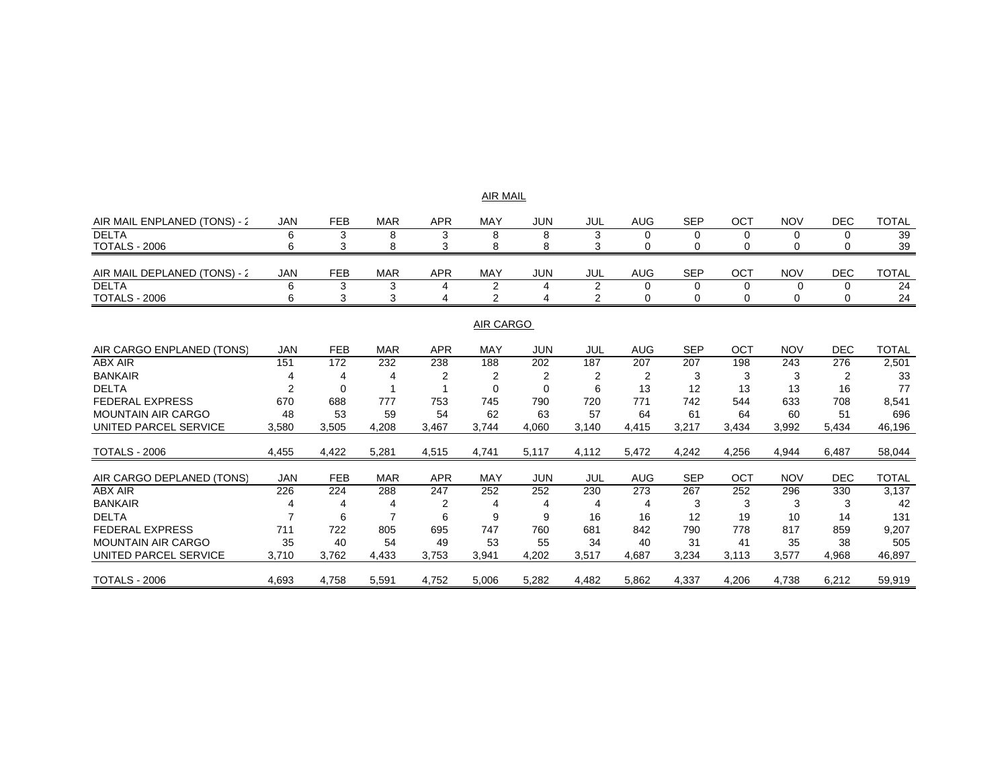|                              |                |                |            |            | AIR MAIL       |                |                |            |            |          |            |                |              |
|------------------------------|----------------|----------------|------------|------------|----------------|----------------|----------------|------------|------------|----------|------------|----------------|--------------|
| AIR MAIL ENPLANED (TONS) - 2 | <b>JAN</b>     | <b>FEB</b>     | <b>MAR</b> | <b>APR</b> | MAY            | <b>JUN</b>     | JUL            | <b>AUG</b> | <b>SEP</b> | OCT      | <b>NOV</b> | <b>DEC</b>     | <b>TOTAL</b> |
| <b>DELTA</b>                 | 6              | 3              | 8          | 3          | 8              | 8              | 3              | $\Omega$   | 0          | $\Omega$ | $\Omega$   | 0              | 39           |
| <b>TOTALS - 2006</b>         | 6              | 3              | 8          | 3          | 8              | 8              | 3              | 0          | 0          | 0        | 0          | 0              | 39           |
|                              |                |                |            |            |                |                |                |            |            |          |            |                |              |
| AIR MAIL DEPLANED (TONS) - 2 | <b>JAN</b>     | <b>FEB</b>     | <b>MAR</b> | <b>APR</b> | <b>MAY</b>     | <b>JUN</b>     | JUL            | <b>AUG</b> | <b>SEP</b> | OCT      | <b>NOV</b> | <b>DEC</b>     | <b>TOTAL</b> |
| <b>DELTA</b>                 | 6              | 3              | 3          | 4          | $\overline{2}$ | 4              | $\overline{2}$ | 0          | 0          | 0        | 0          | 0              | 24           |
| <b>TOTALS - 2006</b>         | 6              | 3              | 3          | 4          | 2              |                | 2              | 0          | 0          | 0        | 0          | 0              | 24           |
|                              |                |                |            |            |                |                |                |            |            |          |            |                |              |
|                              |                |                |            |            | AIR CARGO      |                |                |            |            |          |            |                |              |
| AIR CARGO ENPLANED (TONS)    | <b>JAN</b>     | <b>FEB</b>     | <b>MAR</b> | <b>APR</b> | <b>MAY</b>     | <b>JUN</b>     | JUL            | <b>AUG</b> | <b>SEP</b> | OCT      | <b>NOV</b> | <b>DEC</b>     | <b>TOTAL</b> |
| <b>ABX AIR</b>               | 151            | 172            | 232        | 238        | 188            | 202            | 187            | 207        | 207        | 198      | 243        | 276            | 2,501        |
| <b>BANKAIR</b>               | 4              | 4              | 4          | 2          | 2              | $\overline{2}$ | 2              | 2          | 3          | 3        | 3          | $\overline{2}$ | 33           |
| <b>DELTA</b>                 | $\overline{2}$ | $\Omega$       |            |            | $\Omega$       | $\Omega$       | 6              | 13         | 12         | 13       | 13         | 16             | 77           |
| <b>FEDERAL EXPRESS</b>       | 670            | 688            | 777        | 753        | 745            | 790            | 720            | 771        | 742        | 544      | 633        | 708            | 8,541        |
| <b>MOUNTAIN AIR CARGO</b>    | 48             | 53             | 59         | 54         | 62             | 63             | 57             | 64         | 61         | 64       | 60         | 51             | 696          |
| UNITED PARCEL SERVICE        | 3,580          | 3,505          | 4,208      | 3,467      | 3,744          | 4,060          | 3,140          | 4,415      | 3,217      | 3,434    | 3,992      | 5,434          | 46,196       |
|                              |                |                |            |            |                |                |                |            |            |          |            |                |              |
| <b>TOTALS - 2006</b>         | 4,455          | 4,422          | 5,281      | 4,515      | 4,741          | 5,117          | 4,112          | 5,472      | 4,242      | 4,256    | 4,944      | 6,487          | 58,044       |
|                              |                |                |            |            |                |                |                |            |            |          |            |                |              |
| AIR CARGO DEPLANED (TONS)    | <b>JAN</b>     | <b>FEB</b>     | <b>MAR</b> | <b>APR</b> | <b>MAY</b>     | <b>JUN</b>     | JUL            | <b>AUG</b> | <b>SEP</b> | OCT      | <b>NOV</b> | <b>DEC</b>     | <b>TOTAL</b> |
| <b>ABX AIR</b>               | 226            | 224            | 288        | 247        | 252            | 252            | 230            | 273        | 267        | 252      | 296        | 330            | 3,137        |
| <b>BANKAIR</b>               |                | $\overline{4}$ | 4          | 2          | 4              | 4              | 4              | 4          | 3          | 3        | 3          | 3              | 42           |
| <b>DELTA</b>                 |                | 6              |            | 6          | 9              | 9              | 16             | 16         | 12         | 19       | 10         | 14             | 131          |
| <b>FEDERAL EXPRESS</b>       | 711            | 722            | 805        | 695        | 747            | 760            | 681            | 842        | 790        | 778      | 817        | 859            | 9,207        |
| <b>MOUNTAIN AIR CARGO</b>    | 35             | 40             | 54         | 49         | 53             | 55             | 34             | 40         | 31         | 41       | 35         | 38             | 505          |
| UNITED PARCEL SERVICE        | 3.710          | 3.762          | 4,433      | 3,753      | 3,941          | 4.202          | 3,517          | 4.687      | 3,234      | 3,113    | 3,577      | 4,968          | 46,897       |
| <b>TOTALS - 2006</b>         | 4,693          | 4,758          | 5,591      | 4,752      | 5,006          | 5,282          | 4,482          | 5,862      | 4,337      | 4,206    | 4,738      | 6,212          | 59,919       |
|                              |                |                |            |            |                |                |                |            |            |          |            |                |              |

AIR MAIL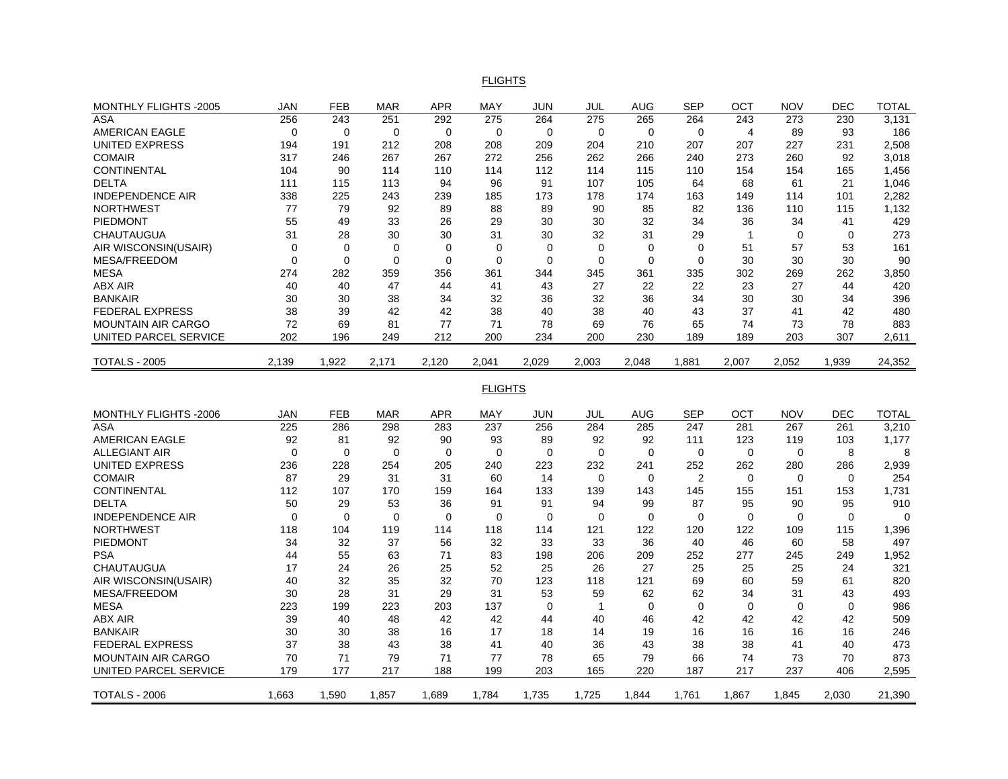#### FLIGHTS

| MONTHLY FLIGHTS -2005     | JAN         | FEB            | <b>MAR</b>  | <b>APR</b> | MAY            | JUN         | <b>JUL</b>     | AUG         | <b>SEP</b>     | ОСТ            | <b>NOV</b>  | DEC         | <b>TOTAL</b> |
|---------------------------|-------------|----------------|-------------|------------|----------------|-------------|----------------|-------------|----------------|----------------|-------------|-------------|--------------|
| <b>ASA</b>                | 256         | 243            | 251         | 292        | 275            | 264         | 275            | 265         | 264            | 243            | 273         | 230         | 3,131        |
| <b>AMERICAN EAGLE</b>     | $\Omega$    | $\overline{0}$ | $\mathbf 0$ | $\Omega$   | $\mathbf 0$    | $\mathbf 0$ | $\mathbf 0$    | $\mathbf 0$ | $\mathbf 0$    | $\overline{4}$ | 89          | 93          | 186          |
| <b>UNITED EXPRESS</b>     | 194         | 191            | 212         | 208        | 208            | 209         | 204            | 210         | 207            | 207            | 227         | 231         | 2,508        |
| <b>COMAIR</b>             | 317         | 246            | 267         | 267        | 272            | 256         | 262            | 266         | 240            | 273            | 260         | 92          | 3,018        |
| <b>CONTINENTAL</b>        | 104         | 90             | 114         | 110        | 114            | 112         | 114            | 115         | 110            | 154            | 154         | 165         | 1,456        |
| DELTA                     | 111         | 115            | 113         | 94         | 96             | 91          | 107            | 105         | 64             | 68             | 61          | 21          | 1,046        |
| <b>INDEPENDENCE AIR</b>   | 338         | 225            | 243         | 239        | 185            | 173         | 178            | 174         | 163            | 149            | 114         | 101         | 2,282        |
| <b>NORTHWEST</b>          | 77          | 79             | 92          | 89         | 88             | 89          | 90             | 85          | 82             | 136            | 110         | 115         | 1,132        |
| <b>PIEDMONT</b>           | 55          | 49             | 33          | 26         | 29             | 30          | 30             | 32          | 34             | 36             | 34          | 41          | 429          |
| CHAUTAUGUA                | 31          | 28             | 30          | 30         | 31             | 30          | 32             | 31          | 29             | $\mathbf{1}$   | $\mathbf 0$ | $\mathbf 0$ | 273          |
| AIR WISCONSIN(USAIR)      | $\Omega$    | 0              | 0           | 0          | $\Omega$       | 0           | $\Omega$       | 0           | $\Omega$       | 51             | 57          | 53          | 161          |
| MESA/FREEDOM              | $\mathbf 0$ | $\mathbf 0$    | $\mathbf 0$ | 0          | $\mathbf 0$    | $\mathbf 0$ | $\mathbf 0$    | $\mathbf 0$ | $\mathbf 0$    | 30             | 30          | 30          | 90           |
| <b>MESA</b>               | 274         | 282            | 359         | 356        | 361            | 344         | 345            | 361         | 335            | 302            | 269         | 262         | 3,850        |
| ABX AIR                   | 40          | 40             | 47          | 44         | 41             | 43          | 27             | 22          | 22             | 23             | 27          | 44          | 420          |
| <b>BANKAIR</b>            | 30          | 30             | 38          | 34         | 32             | 36          | 32             | 36          | 34             | 30             | 30          | 34          | 396          |
| <b>FEDERAL EXPRESS</b>    | 38          | 39             | 42          | 42         | 38             | 40          | 38             | 40          | 43             | 37             | 41          | 42          | 480          |
| <b>MOUNTAIN AIR CARGO</b> | 72          | 69             | 81          | 77         | 71             | 78          | 69             | 76          | 65             | 74             | 73          | 78          | 883          |
| UNITED PARCEL SERVICE     | 202         | 196            | 249         | 212        | 200            | 234         | 200            | 230         | 189            | 189            | 203         | 307         | 2,611        |
| <b>TOTALS - 2005</b>      | 2,139       | 1,922          | 2,171       | 2,120      | 2,041          | 2,029       | 2.003          | 2.048       | 1.881          | 2,007          | 2,052       | 1,939       | 24,352       |
|                           |             |                |             |            |                |             |                |             |                |                |             |             |              |
|                           |             |                |             |            | <b>FLIGHTS</b> |             |                |             |                |                |             |             |              |
| MONTHLY FLIGHTS -2006     | JAN         | <b>FEB</b>     | <b>MAR</b>  | <b>APR</b> | <b>MAY</b>     | JUN         | JUL            | <b>AUG</b>  | <b>SEP</b>     | OCT            | <b>NOV</b>  | <b>DEC</b>  | <b>TOTAL</b> |
| ASA                       | 225         | 286            | 298         | 283        | 237            | 256         | 284            | 285         | 247            | 281            | 267         | 261         | 3,210        |
| <b>AMERICAN EAGLE</b>     | 92          | 81             | 92          | 90         | 93             | 89          | 92             | 92          | 111            | 123            | 119         | 103         | 1,177        |
| <b>ALLEGIANT AIR</b>      | $\mathbf 0$ | $\mathbf 0$    | $\mathbf 0$ | 0          | 0              | $\mathbf 0$ | 0              | $\mathbf 0$ | 0              | 0              | 0           | 8           | 8            |
| <b>UNITED EXPRESS</b>     | 236         | 228            | 254         | 205        | 240            | 223         | 232            | 241         | 252            | 262            | 280         | 286         | 2,939        |
| <b>COMAIR</b>             | 87          | 29             | 31          | 31         | 60             | 14          | 0              | 0           | $\overline{2}$ | $\Omega$       | 0           | 0           | 254          |
| <b>CONTINENTAL</b>        | 112         | 107            | 170         | 159        | 164            | 133         | 139            | 143         | 145            | 155            | 151         | 153         | 1,731        |
| <b>DELTA</b>              | 50          | 29             | 53          | 36         | 91             | 91          | 94             | 99          | 87             | 95             | 90          | 95          | 910          |
| <b>INDEPENDENCE AIR</b>   | $\Omega$    | $\Omega$       | $\mathbf 0$ | 0          | 0              | $\mathbf 0$ | $\Omega$       | 0           | $\Omega$       | $\Omega$       | 0           | 0           | $\mathbf 0$  |
| <b>NORTHWEST</b>          | 118         | 104            | 119         | 114        | 118            | 114         | 121            | 122         | 120            | 122            | 109         | 115         | 1,396        |
| PIEDMONT                  | 34          | 32             | 37          | 56         | 32             | 33          | 33             | 36          | 40             | 46             | 60          | 58          | 497          |
| <b>PSA</b>                | 44          | 55             | 63          | 71         | 83             | 198         | 206            | 209         | 252            | 277            | 245         | 249         | 1,952        |
| <b>CHAUTAUGUA</b>         | 17          | 24             | 26          | 25         | 52             | 25          | 26             | 27          | 25             | 25             | 25          | 24          | 321          |
| AIR WISCONSIN(USAIR)      | 40          | 32             | 35          | 32         | 70             | 123         | 118            | 121         | 69             | 60             | 59          | 61          | 820          |
| MESA/FREEDOM              | 30          | 28             | 31          | 29         | 31             | 53          | 59             | 62          | 62             | 34             | 31          | 43          | 493          |
| <b>MESA</b>               | 223         | 199            | 223         | 203        | 137            | $\mathbf 0$ | $\overline{1}$ | $\mathbf 0$ | $\mathbf 0$    | $\mathbf 0$    | 0           | $\mathbf 0$ | 986          |
| <b>ABX AIR</b>            | 39          | 40             | 48          | 42         | 42             | 44          | 40             | 46          | 42             | 42             | 42          | 42          | 509          |
| <b>BANKAIR</b>            | 30          | 30             | 38          | 16         | 17             | 18          | 14             | 19          | 16             | 16             | 16          | 16          | 246          |
| <b>FEDERAL EXPRESS</b>    | 37          | 38             | 43          | 38         | 41             | 40          | 36             | 43          | 38             | 38             | 41          | 40          | 473          |
| <b>MOUNTAIN AIR CARGO</b> | 70          | 71             | 79          | 71         | 77             | 78          | 65             | 79          | 66             | 74             | 73          | 70          | 873          |
| UNITED PARCEL SERVICE     | 179         | 177            | 217         | 188        | 199            | 203         | 165            | 220         | 187            | 217            | 237         | 406         | 2,595        |
| <b>TOTALS - 2006</b>      | 1.663       | 1.590          | 1.857       | 1.689      | 1.784          | 1,735       | 1,725          | 1.844       | 1.761          | 1.867          | 1.845       | 2.030       | 21,390       |
|                           |             |                |             |            |                |             |                |             |                |                |             |             |              |